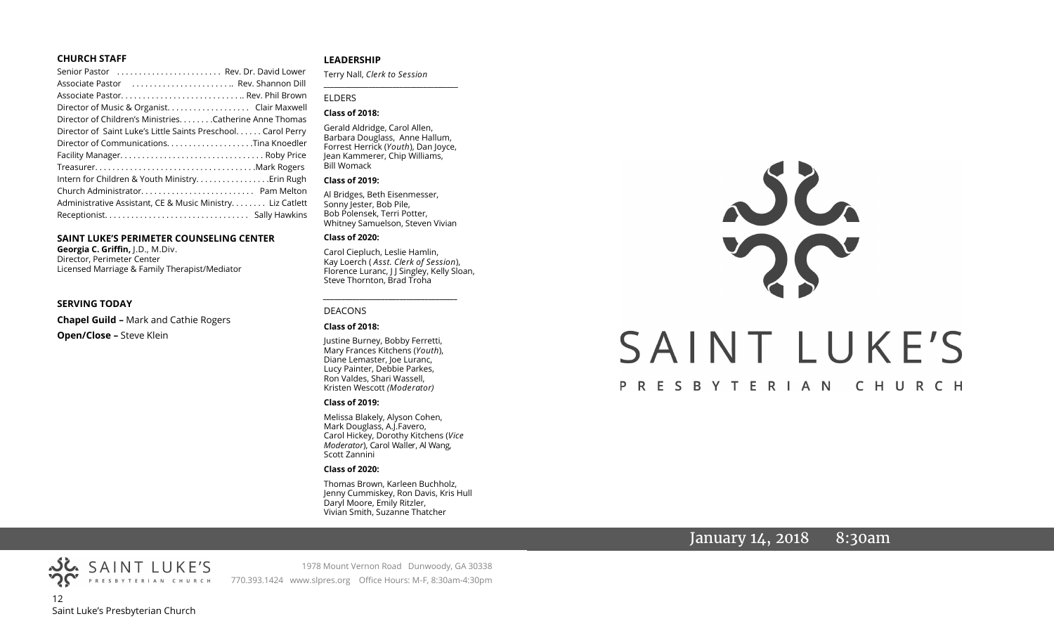#### **CHURCH STAFF**

| Senior Pastor  Rev. Dr. David Lower                          |  |
|--------------------------------------------------------------|--|
| Associate Pastor  Rev. Shannon Dill                          |  |
| Associate Pastor Rev. Phil Brown                             |  |
| Director of Music & Organist. Clair Maxwell                  |  |
| Director of Children's Ministries. Catherine Anne Thomas     |  |
| Director of Saint Luke's Little Saints Preschool Carol Perry |  |
| Director of CommunicationsTina Knoedler                      |  |
|                                                              |  |
|                                                              |  |
|                                                              |  |
|                                                              |  |
| Administrative Assistant, CE & Music Ministry Liz Catlett    |  |
|                                                              |  |
|                                                              |  |

#### **SAINT LUKE'S PERIMETER COUNSELING CENTER**

**Georgia C. Griffin,** J.D., M.Div. Director, Perimeter Center Licensed Marriage & Family Therapist/Mediator

#### **SERVING TODAY**

**Chapel Guild –** Mark and Cathie Rogers **Open/Close –** Steve Klein

#### **LEADERSHIP**

Terry Nall, *Clerk to Session* 

**\_\_\_\_\_\_\_\_\_\_\_\_\_\_\_\_\_\_\_\_\_\_\_\_\_\_\_\_\_\_\_\_\_\_\_\_\_\_\_**

#### ELDERS

#### **Class of 2018:**

Gerald Aldridge, Carol Allen, Barbara Douglass, Anne Hallum, Forrest Herrick (*Youth*), Dan Joyce, Jean Kammerer, Chip Williams, Bill Womack

#### **Class of 2019:**

Al Bridges, Beth Eisenmesser, Sonny Jester, Bob Pile, Bob Polensek, Terri Potter, Whitney Samuelson, Steven Vivian

#### **Class of 2020:**

Carol Ciepluch, Leslie Hamlin, Kay Loerch ( *Asst. Clerk of Session*), Florence Luranc, J J Singley, Kelly Sloan, Steve Thornton, Brad Troha

*\_\_\_\_\_\_\_\_\_\_\_\_\_\_\_\_\_\_\_\_\_\_\_\_\_\_\_\_\_\_\_\_\_\_\_\_\_*

#### DEACONS

#### **Class of 2018:**

Justine Burney, Bobby Ferretti, Mary Frances Kitchens (*Youth*), Diane Lemaster, Joe Luranc, Lucy Painter, Debbie Parkes, Ron Valdes, Shari Wassell, Kristen Wescott *(Moderator)*

#### **Class of 2019:**

Melissa Blakely, Alyson Cohen, Mark Douglass, A.J.Favero, Carol Hickey, Dorothy Kitchens (*Vice Moderator*), Carol Waller, Al Wang, Scott Zannini

#### **Class of 2020:**

Thomas Brown, Karleen Buchholz, Jenny Cummiskey, Ron Davis, Kris Hull Daryl Moore, Emily Ritzler, Vivian Smith, Suzanne Thatcher

# SAINT LUKE'S PRESBYTERIAN CHURCH

# January 14, 2018 8:30am

PRESBYTERIAN CHURCH 12 Saint Luke's Presbyterian Church

SAINT LUKE'S

1978 Mount Vernon Road Dunwoody, GA 30338 770.393.1424 www.slpres.org Office Hours: M-F, 8:30am-4:30pm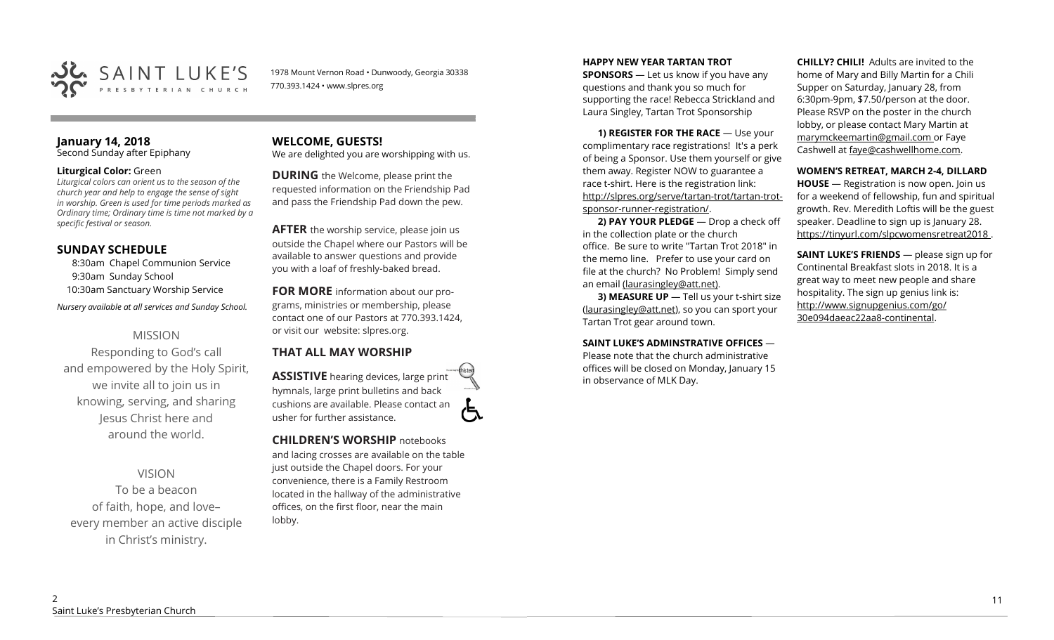

1978 Mount Vernon Road • Dunwoody, Georgia 30338 770.393.1424 • www.slpres.org

#### **January 14, 2018**  Second Sunday after Epiphany

## **Liturgical Color:** Green

*Liturgical colors can orient us to the season of the church year and help to engage the sense of sight in worship. Green is used for time periods marked as Ordinary time; Ordinary time is time not marked by a specific festival or season.*

# **SUNDAY SCHEDULE**

8:30am Chapel Communion Service 9:30am Sunday School 10:30am Sanctuary Worship Service

*Nursery available at all services and Sunday School.* 

# MISSION

Responding to God's call and empowered by the Holy Spirit, we invite all to join us in knowing, serving, and sharing Jesus Christ here and around the world.

VISION

To be a beacon of faith, hope, and love– every member an active disciple in Christ's ministry.

# **WELCOME, GUESTS!**  We are delighted you are worshipping with us.

**DURING** the Welcome, please print the requested information on the Friendship Pad and pass the Friendship Pad down the pew.

**AFTER** the worship service, please join us outside the Chapel where our Pastors will be available to answer questions and provide you with a loaf of freshly-baked bread.

**FOR MORE** information about our programs, ministries or membership, please contact one of our Pastors at 770.393.1424, or visit our website: slpres.org.

# **THAT ALL MAY WORSHIP**

**ASSISTIVE** hearing devices, large print hymnals, large print bulletins and back cushions are available. Please contact an usher for further assistance.

# **CHILDREN'S WORSHIP** notebooks

and lacing crosses are available on the table just outside the Chapel doors. For your convenience, there is a Family Restroom located in the hallway of the administrative offices, on the first floor, near the main lobby.

## **HAPPY NEW YEAR TARTAN TROT**

**SPONSORS** — Let us know if you have any questions and thank you so much for supporting the race! Rebecca Strickland and Laura Singley, Tartan Trot Sponsorship

**1) REGISTER FOR THE RACE** — Use your complimentary race registrations! It's a perk of being a Sponsor. Use them yourself or give them away. Register NOW to guarantee a race t-shirt. Here is the registration link: [http://slpres.org/serve/tartan](http://slpres.org/serve/tartan-trot/tartan-trot-sponsor-runner-registration/)-trot/tartan-trotsponsor-runner-[registration/.](http://slpres.org/serve/tartan-trot/tartan-trot-sponsor-runner-registration/)

**2) PAY YOUR PLEDGE** — Drop a check off in the collection plate or the church office. Be sure to write "Tartan Trot 2018" in the memo line. Prefer to use your card on file at the church? No Problem! Simply send an email [\(laurasingley@att.net\).](mailto:laurasingley@att.net)

**3) MEASURE UP** - Tell us your t-shirt size [\(laurasingley@att.net\),](mailto:laurasingley@att.net) so you can sport your Tartan Trot gear around town.

## **SAINT LUKE'S ADMINSTRATIVE OFFICES** —

Please note that the church administrative offices will be closed on Monday, January 15 in observance of MLK Day.

**CHILLY? CHILI!** Adults are invited to the home of Mary and Billy Martin for a Chili Supper on Saturday, January 28, from 6:30pm-9pm, \$7.50/person at the door. Please RSVP on the poster in the church lobby, or please contact Mary Martin at marymckeemartin@gmail.com or Faye Cashwell at faye@cashwellhome.com.

## **WOMEN'S RETREAT, MARCH 2-4, DILLARD**

**HOUSE** — Registration is now open. Join us for a weekend of fellowship, fun and spiritual growth. Rev. Meredith Loftis will be the guest speaker. Deadline to sign up is January 28. https://tinyurl.com/slpcwomensretreat2018 .

**SAINT LUKE'S FRIENDS** — please sign up for Continental Breakfast slots in 2018. It is a great way to meet new people and share hospitality. The sign up genius link is: <http://www.signupgenius.com/go/> 30e094daeac22aa8-continental.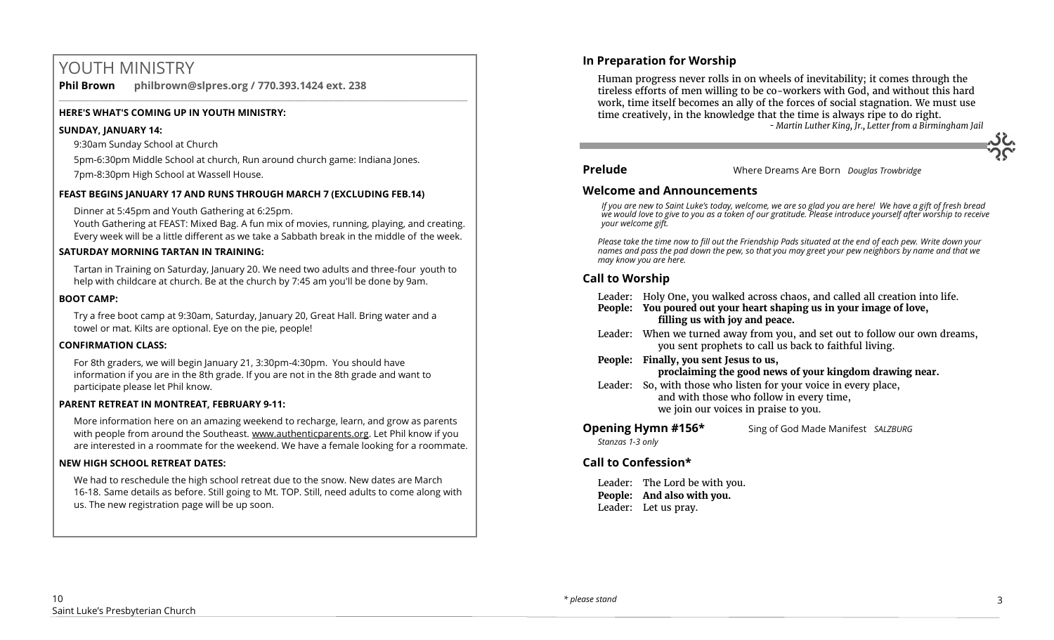# YOUTH MINISTRY

**Phil Brown philbrown@slpres.org / 770.393.1424 ext. 238** 

# **HERE'S WHAT'S COMING UP IN YOUTH MINISTRY:**

# **SUNDAY, JANUARY 14:**

9:30am Sunday School at Church

5pm-6:30pm Middle School at church, Run around church game: Indiana Jones.

 $\_$  ,  $\_$  ,  $\_$  ,  $\_$  ,  $\_$  ,  $\_$  ,  $\_$  ,  $\_$  ,  $\_$  ,  $\_$  ,  $\_$  ,  $\_$  ,  $\_$  ,  $\_$  ,  $\_$  ,  $\_$  ,  $\_$  ,  $\_$  ,  $\_$  ,  $\_$ 

7pm-8:30pm High School at Wassell House.

# **FEAST BEGINS JANUARY 17 AND RUNS THROUGH MARCH 7 (EXCLUDING FEB.14)**

Dinner at 5:45pm and Youth Gathering at 6:25pm.

Youth Gathering at FEAST: Mixed Bag. A fun mix of movies, running, playing, and creating. Every week will be a little different as we take a Sabbath break in the middle of the week.

# **SATURDAY MORNING TARTAN IN TRAINING:**

Tartan in Training on Saturday, January 20. We need two adults and three-four youth to help with childcare at church. Be at the church by 7:45 am you'll be done by 9am.

# **BOOT CAMP:**

Try a free boot camp at 9:30am, Saturday, January 20, Great Hall. Bring water and a towel or mat. Kilts are optional. Eye on the pie, people!

# **CONFIRMATION CLASS:**

For 8th graders, we will begin January 21, 3:30pm-4:30pm. You should have information if you are in the 8th grade. If you are not in the 8th grade and want to participate please let Phil know.

# **PARENT RETREAT IN MONTREAT, FEBRUARY 9-11:**

[More information here](https://www.authenticparents.org/) on an amazing weekend to recharge, learn, and grow as parents with people from around the Southeast. [www.authenticparents.org.](http://www.authenticparents.org/) Let Phil know if you are interested in a roommate for the weekend. We have a female looking for a roommate.

# **NEW HIGH SCHOOL RETREAT DATES:**

We had to reschedule the high school retreat due to the snow. New dates are March 16-18. Same details as before. Still going to Mt. TOP. Still, need adults to come along with us. The new registration page will be up soon.

# **In Preparation for Worship**

Human progress never rolls in on wheels of inevitability; it comes through the tireless efforts of men willing to be co-workers with God, and without this hard work, time itself becomes an ally of the forces of social stagnation. We must use time creatively, in the knowledge that the time is always ripe to do right.

 *- Martin Luther King, Jr., Letter from a Birmingham Jail* 

**Prelude** Where Dreams Are Born *Douglas Trowbridge*

# **Welcome and Announcements**

*If you are new to Saint Luke's today, welcome, we are so glad you are here! We have a gift of fresh bread we would love to give to you as a token of our gratitude. Please introduce yourself after worship to receive your welcome gift.*

*Please take the time now to fill out the Friendship Pads situated at the end of each pew. Write down your names and pass the pad down the pew, so that you may greet your pew neighbors by name and that we may know you are here.*

# **Call to Worship**

- Leader: Holy One, you walked across chaos, and called all creation into life.
- **People: You poured out your heart shaping us in your image of love, filling us with joy and peace.**
- Leader: When we turned away from you, and set out to follow our own dreams, you sent prophets to call us back to faithful living.
- **People: Finally, you sent Jesus to us,**

**proclaiming the good news of your kingdom drawing near.**

Leader: So, with those who listen for your voice in every place, and with those who follow in every time, we join our voices in praise to you.

**Opening Hymn #156\*** Sing of God Made Manifest *SALZBURG* *Stanzas 1-3 only* 

# **Call to Confession\***

Leader: The Lord be with you. **People: And also with you.** Leader: Let us pray.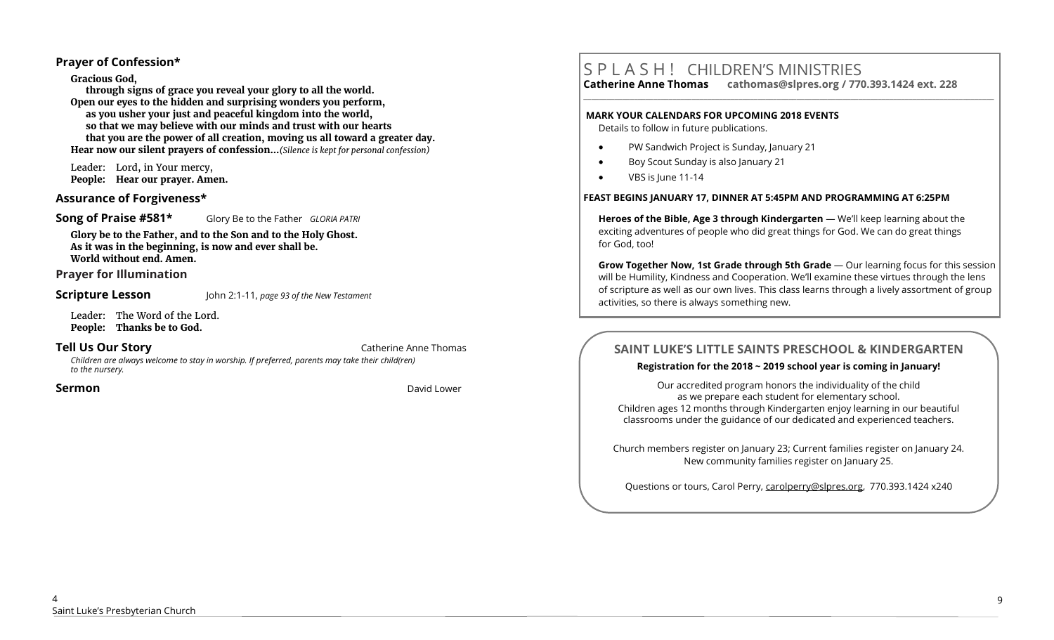# **Prayer of Confession\***

**Gracious God,** 

**through signs of grace you reveal your glory to all the world. Open our eyes to the hidden and surprising wonders you perform, as you usher your just and peaceful kingdom into the world, so that we may believe with our minds and trust with our hearts that you are the power of all creation, moving us all toward a greater day. Hear now our silent prayers of confession...***(Silence is kept for personal confession)* 

Leader: Lord, in Your mercy, **People: Hear our prayer. Amen.**

# **Assurance of Forgiveness\***

**Song of Praise #581\*** Glory Be to the Father *GLORIA PATRI*

**Glory be to the Father, and to the Son and to the Holy Ghost. As it was in the beginning, is now and ever shall be. World without end. Amen.** 

**Prayer for Illumination** 

**Scripture Lesson** John 2:1-11, *page 93 of the New Testament* 

Leader: The Word of the Lord. **People: Thanks be to God.**

**Tell Us Our Story Catherine Anne Thomas** 

*Children are always welcome to stay in worship. If preferred, parents may take their child(ren) to the nursery.*

**Sermon** David Lower

# S P L A S H ! CHILDREN'S MINISTRIES

**Catherine Anne Thomas cathomas@slpres.org / 770.393.1424 ext. 228 \_\_\_\_\_\_\_\_\_\_\_\_\_\_\_\_\_\_\_\_\_\_\_\_\_\_\_\_\_\_\_\_\_\_\_\_\_\_\_\_\_\_\_\_\_\_\_\_\_\_\_\_\_\_\_\_\_\_\_\_\_\_\_\_\_\_\_\_\_\_\_\_\_\_\_\_\_\_\_\_\_\_\_\_\_\_\_\_\_\_\_\_\_\_\_\_\_\_\_\_\_\_\_\_\_\_** 

**MARK YOUR CALENDARS FOR UPCOMING 2018 EVENTS** 

Details to follow in future publications.

- PW Sandwich Project is Sunday, January 21
- Boy Scout Sunday is also January 21
- VBS is lune 11-14

# **FEAST BEGINS JANUARY 17, DINNER AT 5:45PM AND PROGRAMMING AT 6:25PM**

**Heroes of the Bible, Age 3 through Kindergarten** — We'll keep learning about the exciting adventures of people who did great things for God. We can do great things for God, too!

**Grow Together Now, 1st Grade through 5th Grade** — Our learning focus for this session will be Humility, Kindness and Cooperation. We'll examine these virtues through the lens of scripture as well as our own lives. This class learns through a lively assortment of group activities, so there is always something new.

# **SAINT LUKE'S LITTLE SAINTS PRESCHOOL & KINDERGARTEN**

# **Registration for the 2018 ~ 2019 school year is coming in January!**

Our accredited program honors the individuality of the child as we prepare each student for elementary school. Children ages 12 months through Kindergarten enjoy learning in our beautiful classrooms under the guidance of our dedicated and experienced teachers.

Church members register on January 23; Current families register on January 24. New community families register on January 25.

Questions or tours, Carol Perry, carolperry@slpres.org, 770.393.1424 x240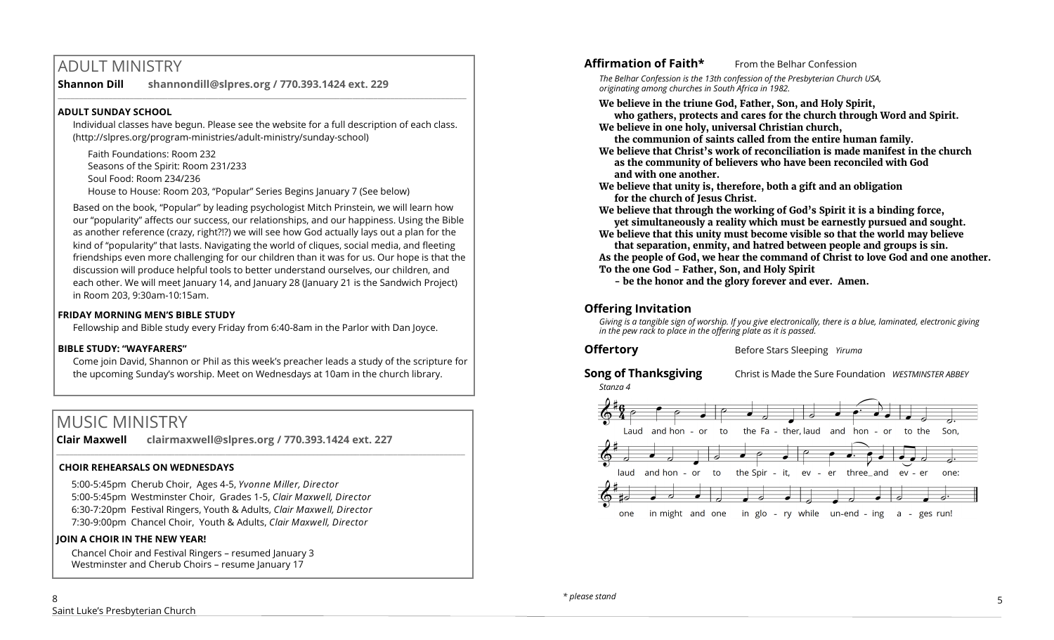# ADULT MINISTRY

**Shannon Dill shannondill@slpres.org / 770.393.1424 ext. 229** 

# **ADULT SUNDAY SCHOOL**

Individual classes have begun. Please see the website for a full description of each class. (http://slpres.org/program-ministries/adult-ministry/sunday-school)

 $\_$  ,  $\_$  ,  $\_$  ,  $\_$  ,  $\_$  ,  $\_$  ,  $\_$  ,  $\_$  ,  $\_$  ,  $\_$  ,  $\_$  ,  $\_$  ,  $\_$  ,  $\_$  ,  $\_$  ,  $\_$  ,  $\_$  ,  $\_$  ,  $\_$  ,  $\_$ 

Faith Foundations: Room 232 Seasons of the Spirit: Room 231/233 Soul Food: Room 234/236 House to House: Room 203, "Popular" Series Begins January 7 (See below)

Based on the book, "Popular" by leading psychologist Mitch Prinstein, we will learn how our "popularity" affects our success, our relationships, and our happiness. Using the Bible as another reference (crazy, right?!?) we will see how God actually lays out a plan for the kind of "popularity" that lasts. Navigating the world of cliques, social media, and fleeting friendships even more challenging for our children than it was for us. Our hope is that the discussion will produce helpful tools to better understand ourselves, our children, and each other. We will meet January 14, and January 28 (January 21 is the Sandwich Project) in Room 203, 9:30am-10:15am.

# **FRIDAY MORNING MEN'S BIBLE STUDY**

Fellowship and Bible study every Friday from 6:40-8am in the Parlor with Dan Joyce.

# **BIBLE STUDY: "WAYFARERS"**

Come join David, Shannon or Phil as this week's preacher leads a study of the scripture for the upcoming Sunday's worship. Meet on Wednesdays at 10am in the church library.

# MUSIC MINISTRY

**Clair Maxwell clairmaxwell@slpres.org / 770.393.1424 ext. 227**   $\_$  ,  $\_$  ,  $\_$  ,  $\_$  ,  $\_$  ,  $\_$  ,  $\_$  ,  $\_$  ,  $\_$  ,  $\_$  ,  $\_$  ,  $\_$  ,  $\_$  ,  $\_$  ,  $\_$  ,  $\_$  ,  $\_$  ,  $\_$  ,  $\_$ 

# **CHOIR REHEARSALS ON WEDNESDAYS**

5:00-5:45pm Cherub Choir, Ages 4-5, *Yvonne Miller, Director*  5:00-5:45pm Westminster Choir, Grades 1-5, *Clair Maxwell, Director*  6:30-7:20pm Festival Ringers, Youth & Adults, *Clair Maxwell, Director*  7:30-9:00pm Chancel Choir, Youth & Adults, *Clair Maxwell, Director* 

# **JOIN A CHOIR IN THE NEW YEAR!**

Chancel Choir and Festival Ringers – resumed January 3 Westminster and Cherub Choirs – resume January 17

# **Affirmation of Faith\*** From the Belhar Confession

*The Belhar Confession is the 13th confession of the Presbyterian Church USA, originating among churches in South Africa in 1982.*

# **We believe in the triune God, Father, Son, and Holy Spirit,**

**who gathers, protects and cares for the church through Word and Spirit. We believe in one holy, universal Christian church,** 

- **the communion of saints called from the entire human family.**
- **We believe that Christ's work of reconciliation is made manifest in the church as the community of believers who have been reconciled with God and with one another.**
- **We believe that unity is, therefore, both a gift and an obligation for the church of Jesus Christ.**

**We believe that through the working of God's Spirit it is a binding force, yet simultaneously a reality which must be earnestly pursued and sought.**

**We believe that this unity must become visible so that the world may believe that separation, enmity, and hatred between people and groups is sin.**

**As the people of God, we hear the command of Christ to love God and one another. To the one God - Father, Son, and Holy Spirit** 

**- be the honor and the glory forever and ever. Amen.**

# **Offering Invitation**

*Giving is a tangible sign of worship. If you give electronically, there is a blue, laminated, electronic giving in the pew rack to place in the offering plate as it is passed.*

**Offertory** Before Stars Sleeping *Yiruma* 

**Song of Thanksgiving** Christ is Made the Sure Foundation *WESTMINSTER ABBEY*